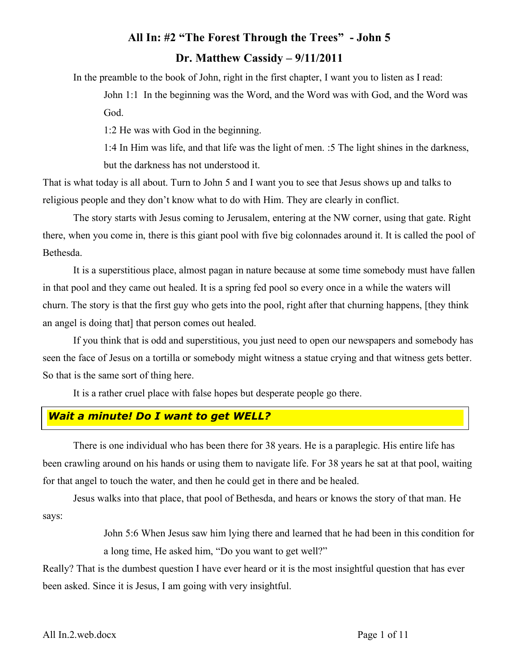# **All In: #2 "The Forest Through the Trees" - John 5 Dr. Matthew Cassidy – 9/11/2011**

In the preamble to the book of John, right in the first chapter, I want you to listen as I read:

John 1:1 In the beginning was the Word, and the Word was with God, and the Word was God.

1:2 He was with God in the beginning.

1:4 In Him was life, and that life was the light of men. :5 The light shines in the darkness, but the darkness has not understood it.

That is what today is all about. Turn to John 5 and I want you to see that Jesus shows up and talks to religious people and they don't know what to do with Him. They are clearly in conflict.

The story starts with Jesus coming to Jerusalem, entering at the NW corner, using that gate. Right there, when you come in, there is this giant pool with five big colonnades around it. It is called the pool of Bethesda.

It is a superstitious place, almost pagan in nature because at some time somebody must have fallen in that pool and they came out healed. It is a spring fed pool so every once in a while the waters will churn. The story is that the first guy who gets into the pool, right after that churning happens, [they think an angel is doing that] that person comes out healed.

If you think that is odd and superstitious, you just need to open our newspapers and somebody has seen the face of Jesus on a tortilla or somebody might witness a statue crying and that witness gets better. So that is the same sort of thing here.

It is a rather cruel place with false hopes but desperate people go there.

### *Wait a minute! Do I want to get WELL?*

There is one individual who has been there for 38 years. He is a paraplegic. His entire life has been crawling around on his hands or using them to navigate life. For 38 years he sat at that pool, waiting for that angel to touch the water, and then he could get in there and be healed.

Jesus walks into that place, that pool of Bethesda, and hears or knows the story of that man. He says:

> John 5:6 When Jesus saw him lying there and learned that he had been in this condition for a long time, He asked him, "Do you want to get well?"

Really? That is the dumbest question I have ever heard or it is the most insightful question that has ever been asked. Since it is Jesus, I am going with very insightful.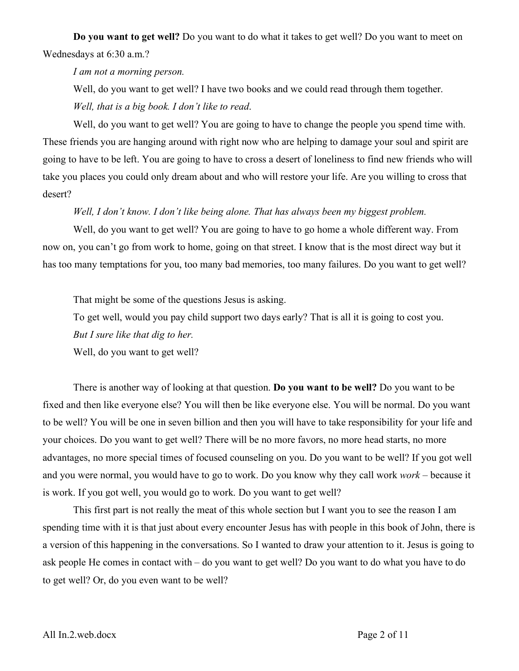**Do you want to get well?** Do you want to do what it takes to get well? Do you want to meet on Wednesdays at 6:30 a.m.?

*I am not a morning person.* 

Well, do you want to get well? I have two books and we could read through them together. *Well, that is a big book. I don't like to read*.

Well, do you want to get well? You are going to have to change the people you spend time with. These friends you are hanging around with right now who are helping to damage your soul and spirit are going to have to be left. You are going to have to cross a desert of loneliness to find new friends who will take you places you could only dream about and who will restore your life. Are you willing to cross that desert?

#### *Well, I don't know. I don't like being alone. That has always been my biggest problem.*

Well, do you want to get well? You are going to have to go home a whole different way. From now on, you can't go from work to home, going on that street. I know that is the most direct way but it has too many temptations for you, too many bad memories, too many failures. Do you want to get well?

That might be some of the questions Jesus is asking.

To get well, would you pay child support two days early? That is all it is going to cost you.

*But I sure like that dig to her.*

Well, do you want to get well?

There is another way of looking at that question. **Do you want to be well?** Do you want to be fixed and then like everyone else? You will then be like everyone else. You will be normal. Do you want to be well? You will be one in seven billion and then you will have to take responsibility for your life and your choices. Do you want to get well? There will be no more favors, no more head starts, no more advantages, no more special times of focused counseling on you. Do you want to be well? If you got well and you were normal, you would have to go to work. Do you know why they call work *work* – because it is work. If you got well, you would go to work. Do you want to get well?

This first part is not really the meat of this whole section but I want you to see the reason I am spending time with it is that just about every encounter Jesus has with people in this book of John, there is a version of this happening in the conversations. So I wanted to draw your attention to it. Jesus is going to ask people He comes in contact with – do you want to get well? Do you want to do what you have to do to get well? Or, do you even want to be well?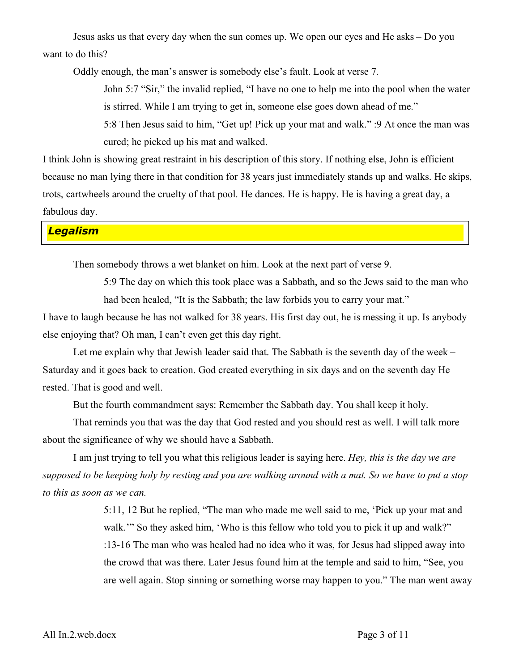Jesus asks us that every day when the sun comes up. We open our eyes and He asks – Do you want to do this?

Oddly enough, the man's answer is somebody else's fault. Look at verse 7.

John 5:7 "Sir," the invalid replied, "I have no one to help me into the pool when the water is stirred. While I am trying to get in, someone else goes down ahead of me."

5:8 Then Jesus said to him, "Get up! Pick up your mat and walk." :9 At once the man was cured; he picked up his mat and walked.

I think John is showing great restraint in his description of this story. If nothing else, John is efficient because no man lying there in that condition for 38 years just immediately stands up and walks. He skips, trots, cartwheels around the cruelty of that pool. He dances. He is happy. He is having a great day, a fabulous day.

*Legalism*

Then somebody throws a wet blanket on him. Look at the next part of verse 9.

5:9 The day on which this took place was a Sabbath, and so the Jews said to the man who had been healed. "It is the Sabbath; the law forbids you to carry your mat."

I have to laugh because he has not walked for 38 years. His first day out, he is messing it up. Is anybody else enjoying that? Oh man, I can't even get this day right.

Let me explain why that Jewish leader said that. The Sabbath is the seventh day of the week – Saturday and it goes back to creation. God created everything in six days and on the seventh day He rested. That is good and well.

But the fourth commandment says: Remember the Sabbath day. You shall keep it holy.

That reminds you that was the day that God rested and you should rest as well. I will talk more about the significance of why we should have a Sabbath.

I am just trying to tell you what this religious leader is saying here. *Hey, this is the day we are supposed to be keeping holy by resting and you are walking around with a mat. So we have to put a stop to this as soon as we can.*

> 5:11, 12 But he replied, "The man who made me well said to me, 'Pick up your mat and walk." So they asked him, 'Who is this fellow who told you to pick it up and walk?" :13-16 The man who was healed had no idea who it was, for Jesus had slipped away into the crowd that was there. Later Jesus found him at the temple and said to him, "See, you are well again. Stop sinning or something worse may happen to you." The man went away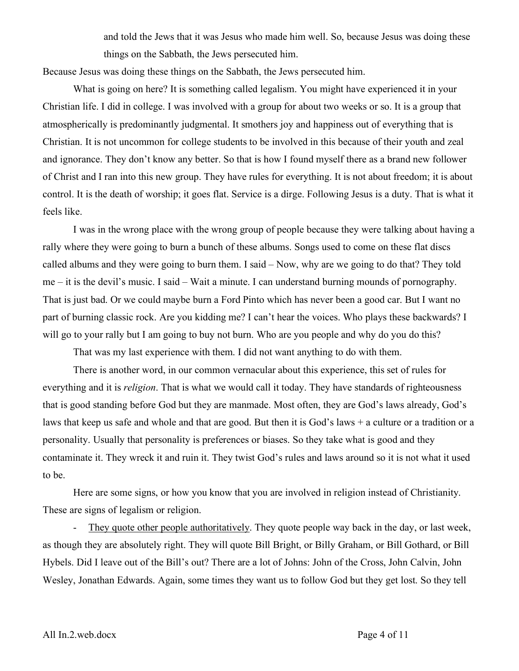and told the Jews that it was Jesus who made him well. So, because Jesus was doing these things on the Sabbath, the Jews persecuted him.

Because Jesus was doing these things on the Sabbath, the Jews persecuted him.

What is going on here? It is something called legalism. You might have experienced it in your Christian life. I did in college. I was involved with a group for about two weeks or so. It is a group that atmospherically is predominantly judgmental. It smothers joy and happiness out of everything that is Christian. It is not uncommon for college students to be involved in this because of their youth and zeal and ignorance. They don't know any better. So that is how I found myself there as a brand new follower of Christ and I ran into this new group. They have rules for everything. It is not about freedom; it is about control. It is the death of worship; it goes flat. Service is a dirge. Following Jesus is a duty. That is what it feels like.

I was in the wrong place with the wrong group of people because they were talking about having a rally where they were going to burn a bunch of these albums. Songs used to come on these flat discs called albums and they were going to burn them. I said – Now, why are we going to do that? They told me – it is the devil's music. I said – Wait a minute. I can understand burning mounds of pornography. That is just bad. Or we could maybe burn a Ford Pinto which has never been a good car. But I want no part of burning classic rock. Are you kidding me? I can't hear the voices. Who plays these backwards? I will go to your rally but I am going to buy not burn. Who are you people and why do you do this?

That was my last experience with them. I did not want anything to do with them.

There is another word, in our common vernacular about this experience, this set of rules for everything and it is *religion*. That is what we would call it today. They have standards of righteousness that is good standing before God but they are manmade. Most often, they are God's laws already, God's laws that keep us safe and whole and that are good. But then it is God's laws + a culture or a tradition or a personality. Usually that personality is preferences or biases. So they take what is good and they contaminate it. They wreck it and ruin it. They twist God's rules and laws around so it is not what it used to be.

Here are some signs, or how you know that you are involved in religion instead of Christianity. These are signs of legalism or religion.

- They quote other people authoritatively. They quote people way back in the day, or last week, as though they are absolutely right. They will quote Bill Bright, or Billy Graham, or Bill Gothard, or Bill Hybels. Did I leave out of the Bill's out? There are a lot of Johns: John of the Cross, John Calvin, John Wesley, Jonathan Edwards. Again, some times they want us to follow God but they get lost. So they tell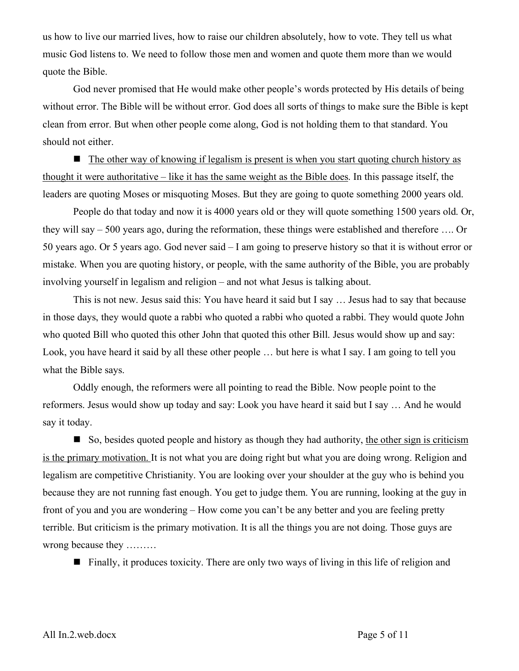us how to live our married lives, how to raise our children absolutely, how to vote. They tell us what music God listens to. We need to follow those men and women and quote them more than we would quote the Bible.

God never promised that He would make other people's words protected by His details of being without error. The Bible will be without error. God does all sorts of things to make sure the Bible is kept clean from error. But when other people come along, God is not holding them to that standard. You should not either.

 $\blacksquare$  The other way of knowing if legalism is present is when you start quoting church history as thought it were authoritative – like it has the same weight as the Bible does. In this passage itself, the leaders are quoting Moses or misquoting Moses. But they are going to quote something 2000 years old.

People do that today and now it is 4000 years old or they will quote something 1500 years old. Or, they will say – 500 years ago, during the reformation, these things were established and therefore …. Or 50 years ago. Or 5 years ago. God never said – I am going to preserve history so that it is without error or mistake. When you are quoting history, or people, with the same authority of the Bible, you are probably involving yourself in legalism and religion – and not what Jesus is talking about.

This is not new. Jesus said this: You have heard it said but I say … Jesus had to say that because in those days, they would quote a rabbi who quoted a rabbi who quoted a rabbi. They would quote John who quoted Bill who quoted this other John that quoted this other Bill. Jesus would show up and say: Look, you have heard it said by all these other people … but here is what I say. I am going to tell you what the Bible says.

Oddly enough, the reformers were all pointing to read the Bible. Now people point to the reformers. Jesus would show up today and say: Look you have heard it said but I say … And he would say it today.

 $\Box$  So, besides quoted people and history as though they had authority, the other sign is criticism is the primary motivation. It is not what you are doing right but what you are doing wrong. Religion and legalism are competitive Christianity. You are looking over your shoulder at the guy who is behind you because they are not running fast enough. You get to judge them. You are running, looking at the guy in front of you and you are wondering – How come you can't be any better and you are feeling pretty terrible. But criticism is the primary motivation. It is all the things you are not doing. Those guys are wrong because they ………

 $\blacksquare$  Finally, it produces toxicity. There are only two ways of living in this life of religion and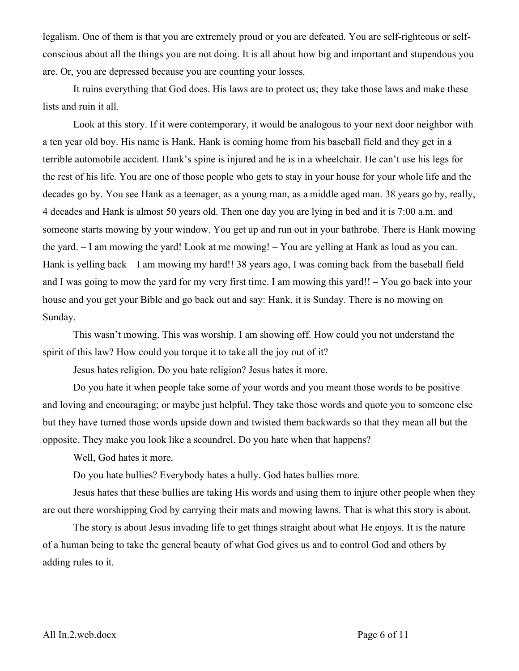legalism. One of them is that you are extremely proud or you are defeated. You are self-righteous or selfconscious about all the things you are not doing. It is all about how big and important and stupendous you are. Or, you are depressed because you are counting your losses.

It ruins everything that God does. His laws are to protect us; they take those laws and make these lists and ruin it all.

Look at this story. If it were contemporary, it would be analogous to your next door neighbor with a ten year old boy. His name is Hank. Hank is coming home from his baseball field and they get in a terrible automobile accident. Hank's spine is injured and he is in a wheelchair. He can't use his legs for the rest of his life. You are one of those people who gets to stay in your house for your whole life and the decades go by. You see Hank as a teenager, as a young man, as a middle aged man. 38 years go by, really, 4 decades and Hank is almost 50 years old. Then one day you are lying in bed and it is 7:00 a.m. and someone starts mowing by your window. You get up and run out in your bathrobe. There is Hank mowing the yard. – I am mowing the yard! Look at me mowing! – You are yelling at Hank as loud as you can. Hank is yelling back – I am mowing my hard!! 38 years ago, I was coming back from the baseball field and I was going to mow the yard for my very first time. I am mowing this yard!! – You go back into your house and you get your Bible and go back out and say: Hank, it is Sunday. There is no mowing on Sunday.

This wasn't mowing. This was worship. I am showing off. How could you not understand the spirit of this law? How could you torque it to take all the joy out of it?

Jesus hates religion. Do you hate religion? Jesus hates it more.

Do you hate it when people take some of your words and you meant those words to be positive and loving and encouraging; or maybe just helpful. They take those words and quote you to someone else but they have turned those words upside down and twisted them backwards so that they mean all but the opposite. They make you look like a scoundrel. Do you hate when that happens?

Well, God hates it more.

Do you hate bullies? Everybody hates a bully. God hates bullies more.

Jesus hates that these bullies are taking His words and using them to injure other people when they are out there worshipping God by carrying their mats and mowing lawns. That is what this story is about.

The story is about Jesus invading life to get things straight about what He enjoys. It is the nature of a human being to take the general beauty of what God gives us and to control God and others by adding rules to it.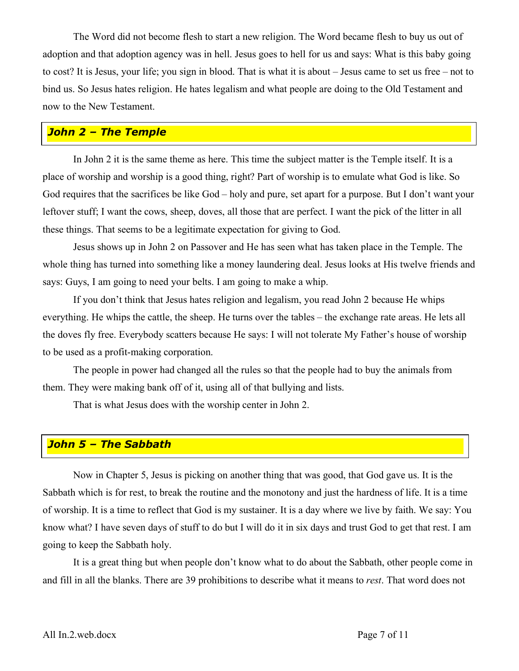The Word did not become flesh to start a new religion. The Word became flesh to buy us out of adoption and that adoption agency was in hell. Jesus goes to hell for us and says: What is this baby going to cost? It is Jesus, your life; you sign in blood. That is what it is about – Jesus came to set us free – not to bind us. So Jesus hates religion. He hates legalism and what people are doing to the Old Testament and now to the New Testament.

## *John 2 – The Temple*

In John 2 it is the same theme as here. This time the subject matter is the Temple itself. It is a place of worship and worship is a good thing, right? Part of worship is to emulate what God is like. So God requires that the sacrifices be like God – holy and pure, set apart for a purpose. But I don't want your leftover stuff; I want the cows, sheep, doves, all those that are perfect. I want the pick of the litter in all these things. That seems to be a legitimate expectation for giving to God.

Jesus shows up in John 2 on Passover and He has seen what has taken place in the Temple. The whole thing has turned into something like a money laundering deal. Jesus looks at His twelve friends and says: Guys, I am going to need your belts. I am going to make a whip.

If you don't think that Jesus hates religion and legalism, you read John 2 because He whips everything. He whips the cattle, the sheep. He turns over the tables – the exchange rate areas. He lets all the doves fly free. Everybody scatters because He says: I will not tolerate My Father's house of worship to be used as a profit-making corporation.

The people in power had changed all the rules so that the people had to buy the animals from them. They were making bank off of it, using all of that bullying and lists.

That is what Jesus does with the worship center in John 2.

#### *John 5 – The Sabbath*

Now in Chapter 5, Jesus is picking on another thing that was good, that God gave us. It is the Sabbath which is for rest, to break the routine and the monotony and just the hardness of life. It is a time of worship. It is a time to reflect that God is my sustainer. It is a day where we live by faith. We say: You know what? I have seven days of stuff to do but I will do it in six days and trust God to get that rest. I am going to keep the Sabbath holy.

It is a great thing but when people don't know what to do about the Sabbath, other people come in and fill in all the blanks. There are 39 prohibitions to describe what it means to *rest*. That word does not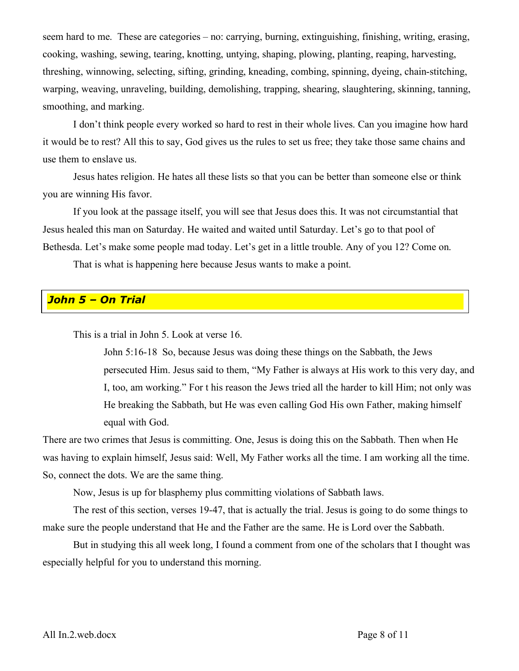seem hard to me. These are categories – no: carrying, burning, extinguishing, finishing, writing, erasing, cooking, washing, sewing, tearing, knotting, untying, shaping, plowing, planting, reaping, harvesting, threshing, winnowing, selecting, sifting, grinding, kneading, combing, spinning, dyeing, chain-stitching, warping, weaving, unraveling, building, demolishing, trapping, shearing, slaughtering, skinning, tanning, smoothing, and marking.

I don't think people every worked so hard to rest in their whole lives. Can you imagine how hard it would be to rest? All this to say, God gives us the rules to set us free; they take those same chains and use them to enslave us.

Jesus hates religion. He hates all these lists so that you can be better than someone else or think you are winning His favor.

If you look at the passage itself, you will see that Jesus does this. It was not circumstantial that Jesus healed this man on Saturday. He waited and waited until Saturday. Let's go to that pool of Bethesda. Let's make some people mad today. Let's get in a little trouble. Any of you 12? Come on.

That is what is happening here because Jesus wants to make a point.

#### *John 5 – On Trial*

This is a trial in John 5. Look at verse 16.

John 5:16-18 So, because Jesus was doing these things on the Sabbath, the Jews persecuted Him. Jesus said to them, "My Father is always at His work to this very day, and I, too, am working." For t his reason the Jews tried all the harder to kill Him; not only was He breaking the Sabbath, but He was even calling God His own Father, making himself equal with God.

There are two crimes that Jesus is committing. One, Jesus is doing this on the Sabbath. Then when He was having to explain himself, Jesus said: Well, My Father works all the time. I am working all the time. So, connect the dots. We are the same thing.

Now, Jesus is up for blasphemy plus committing violations of Sabbath laws.

The rest of this section, verses 19-47, that is actually the trial. Jesus is going to do some things to make sure the people understand that He and the Father are the same. He is Lord over the Sabbath.

But in studying this all week long, I found a comment from one of the scholars that I thought was especially helpful for you to understand this morning.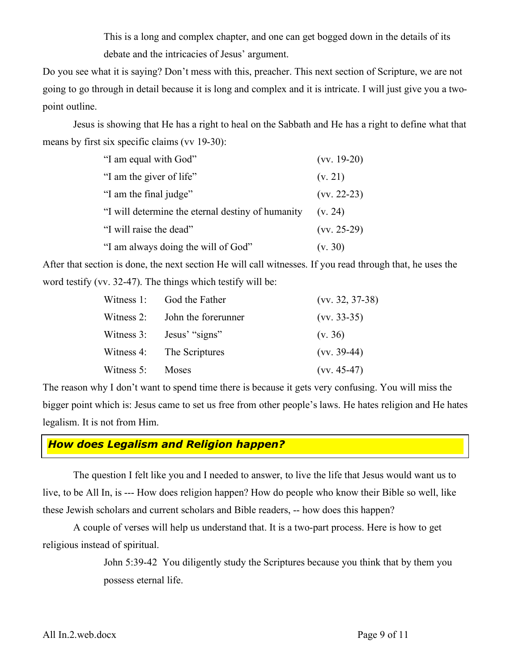This is a long and complex chapter, and one can get bogged down in the details of its debate and the intricacies of Jesus' argument.

Do you see what it is saying? Don't mess with this, preacher. This next section of Scripture, we are not going to go through in detail because it is long and complex and it is intricate. I will just give you a twopoint outline.

Jesus is showing that He has a right to heal on the Sabbath and He has a right to define what that means by first six specific claims (vv 19-30):

| "I am equal with God"                             | $(vv. 19-20)$ |
|---------------------------------------------------|---------------|
| "I am the giver of life"                          | (v. 21)       |
| "I am the final judge"                            | $(vv. 22-23)$ |
| "I will determine the eternal destiny of humanity | (v, 24)       |
| "I will raise the dead"                           | $(vv. 25-29)$ |
| "I am always doing the will of God"               | (v. 30)       |

After that section is done, the next section He will call witnesses. If you read through that, he uses the word testify (vv. 32-47). The things which testify will be:

|              | Witness 1: God the Father      | $(vv. 32, 37-38)$ |
|--------------|--------------------------------|-------------------|
|              | Witness 2: John the forerunner | $(vv. 33-35)$     |
| Witness 3:   | Jesus' "signs"                 | (v. 36)           |
|              | Witness 4: The Scriptures      | $(vv. 39-44)$     |
| Witness $5:$ | <b>Moses</b>                   | $(vv. 45-47)$     |

The reason why I don't want to spend time there is because it gets very confusing. You will miss the bigger point which is: Jesus came to set us free from other people's laws. He hates religion and He hates legalism. It is not from Him.

#### *How does Legalism and Religion happen?*

The question I felt like you and I needed to answer, to live the life that Jesus would want us to live, to be All In, is --- How does religion happen? How do people who know their Bible so well, like these Jewish scholars and current scholars and Bible readers, -- how does this happen?

A couple of verses will help us understand that. It is a two-part process. Here is how to get religious instead of spiritual.

> John 5:39-42 You diligently study the Scriptures because you think that by them you possess eternal life.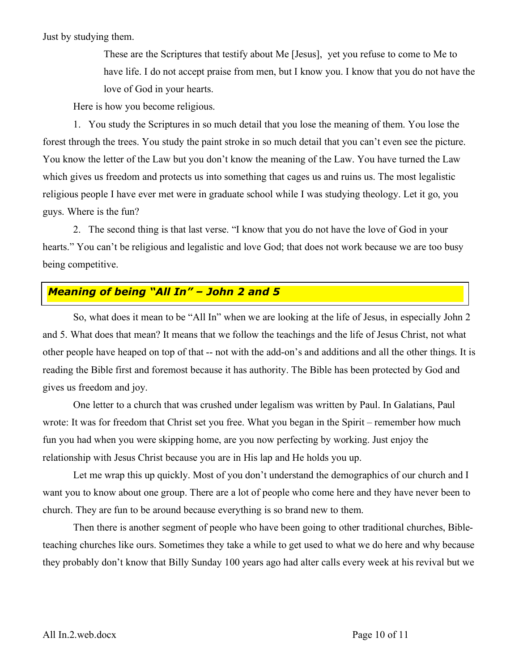Just by studying them.

These are the Scriptures that testify about Me [Jesus], yet you refuse to come to Me to have life. I do not accept praise from men, but I know you. I know that you do not have the love of God in your hearts.

Here is how you become religious.

1. You study the Scriptures in so much detail that you lose the meaning of them. You lose the forest through the trees. You study the paint stroke in so much detail that you can't even see the picture. You know the letter of the Law but you don't know the meaning of the Law. You have turned the Law which gives us freedom and protects us into something that cages us and ruins us. The most legalistic religious people I have ever met were in graduate school while I was studying theology. Let it go, you guys. Where is the fun?

2. The second thing is that last verse. "I know that you do not have the love of God in your hearts." You can't be religious and legalistic and love God; that does not work because we are too busy being competitive.

# *Meaning of being "All In" – John 2 and 5*

So, what does it mean to be "All In" when we are looking at the life of Jesus, in especially John 2 and 5. What does that mean? It means that we follow the teachings and the life of Jesus Christ, not what other people have heaped on top of that -- not with the add-on's and additions and all the other things. It is reading the Bible first and foremost because it has authority. The Bible has been protected by God and gives us freedom and joy.

One letter to a church that was crushed under legalism was written by Paul. In Galatians, Paul wrote: It was for freedom that Christ set you free. What you began in the Spirit – remember how much fun you had when you were skipping home, are you now perfecting by working. Just enjoy the relationship with Jesus Christ because you are in His lap and He holds you up.

Let me wrap this up quickly. Most of you don't understand the demographics of our church and I want you to know about one group. There are a lot of people who come here and they have never been to church. They are fun to be around because everything is so brand new to them.

Then there is another segment of people who have been going to other traditional churches, Bibleteaching churches like ours. Sometimes they take a while to get used to what we do here and why because they probably don't know that Billy Sunday 100 years ago had alter calls every week at his revival but we